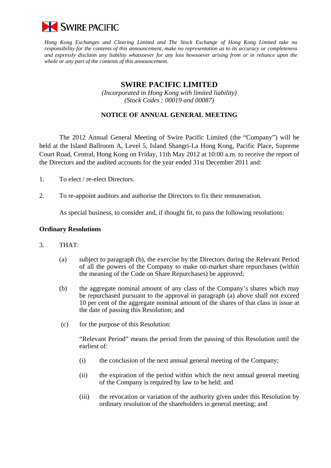

*Hong Kong Exchanges and Clearing Limited and The Stock Exchange of Hong Kong Limited take no responsibility for the contents of this announcement, make no representation as to its accuracy or completeness and expressly disclaim any liability whatsoever for any loss howsoever arising from or in reliance upon the whole or any part of the contents of this announcement.* 

## **SWIRE PACIFIC LIMITED**

*(Incorporated in Hong Kong with limited liability) (Stock Codes : 00019 and 00087)* 

## **NOTICE OF ANNUAL GENERAL MEETING**

 The 2012 Annual General Meeting of Swire Pacific Limited (the "Company") will be held at the Island Ballroom A, Level 5, Island Shangri-La Hong Kong, Pacific Place, Supreme Court Road, Central, Hong Kong on Friday, 11th May 2012 at 10:00 a.m. to receive the report of the Directors and the audited accounts for the year ended 31st December 2011 and:

- 1. To elect / re-elect Directors.
- 2. To re-appoint auditors and authorise the Directors to fix their remuneration.

As special business, to consider and, if thought fit, to pass the following resolutions:

## **Ordinary Resolutions**

- 3. THAT:
	- (a) subject to paragraph (b), the exercise by the Directors during the Relevant Period of all the powers of the Company to make on-market share repurchases (within the meaning of the Code on Share Repurchases) be approved;
	- (b) the aggregate nominal amount of any class of the Company's shares which may be repurchased pursuant to the approval in paragraph (a) above shall not exceed 10 per cent of the aggregate nominal amount of the shares of that class in issue at the date of passing this Resolution; and
	- (c) for the purpose of this Resolution:

 "Relevant Period" means the period from the passing of this Resolution until the earliest of:

- (i) the conclusion of the next annual general meeting of the Company;
- (ii) the expiration of the period within which the next annual general meeting of the Company is required by law to be held; and
- (iii) the revocation or variation of the authority given under this Resolution by ordinary resolution of the shareholders in general meeting; and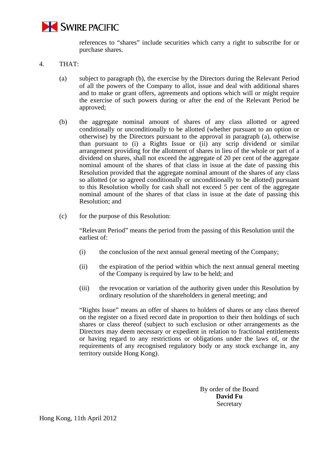

references to "shares" include securities which carry a right to subscribe for or purchase shares.

- 4. THAT:
	- (a) subject to paragraph (b), the exercise by the Directors during the Relevant Period of all the powers of the Company to allot, issue and deal with additional shares and to make or grant offers, agreements and options which will or might require the exercise of such powers during or after the end of the Relevant Period be approved;
	- (b) the aggregate nominal amount of shares of any class allotted or agreed conditionally or unconditionally to be allotted (whether pursuant to an option or otherwise) by the Directors pursuant to the approval in paragraph (a), otherwise than pursuant to (i) a Rights Issue or (ii) any scrip dividend or similar arrangement providing for the allotment of shares in lieu of the whole or part of a dividend on shares, shall not exceed the aggregate of 20 per cent of the aggregate nominal amount of the shares of that class in issue at the date of passing this Resolution provided that the aggregate nominal amount of the shares of any class so allotted (or so agreed conditionally or unconditionally to be allotted) pursuant to this Resolution wholly for cash shall not exceed 5 per cent of the aggregate nominal amount of the shares of that class in issue at the date of passing this Resolution; and
	- (c) for the purpose of this Resolution:

"Relevant Period" means the period from the passing of this Resolution until the earliest of:

- (i) the conclusion of the next annual general meeting of the Company;
- (ii) the expiration of the period within which the next annual general meeting of the Company is required by law to be held; and
- (iii) the revocation or variation of the authority given under this Resolution by ordinary resolution of the shareholders in general meeting; and

 "Rights Issue" means an offer of shares to holders of shares or any class thereof on the register on a fixed record date in proportion to their then holdings of such shares or class thereof (subject to such exclusion or other arrangements as the Directors may deem necessary or expedient in relation to fractional entitlements or having regard to any restrictions or obligations under the laws of, or the requirements of any recognised regulatory body or any stock exchange in, any territory outside Hong Kong).

> By order of the Board **David Fu**  Secretary

Hong Kong, 11th April 2012